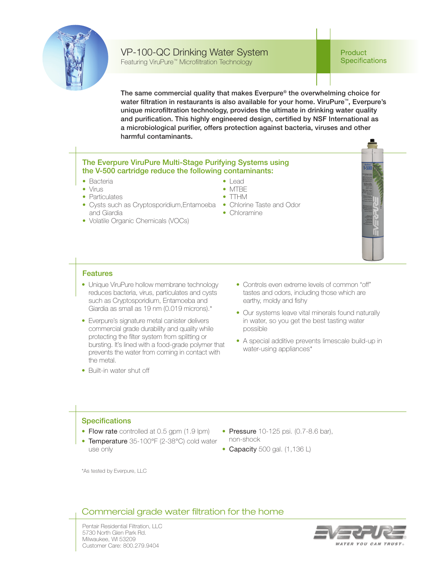

## VP-100-QC Drinking Water System

Featuring ViruPure™ Microfiltration Technology

**Product Specifications** 

The same commercial quality that makes Everpure® the overwhelming choice for water filtration in restaurants is also available for your home. ViruPure™, Everpure's unique microfiltration technology, provides the ultimate in drinking water quality and purification. This highly engineered design, certified by NSF International as a microbiological purifier, offers protection against bacteria, viruses and other harmful contaminants.

## The Everpure ViruPure Multi-Stage Purifying Systems using the V-500 cartridge reduce the following contaminants:

- Bacteria
- Virus
- Particulates
- Cysts such as Cryptosporidium, Entamoeba Chlorine Taste and Odor and Giardia
- Volatile Organic Chemicals (VOCs)
- Lead
- MTBE
- TTHM
- 
- Chloramine

## Features

- Unique ViruPure hollow membrane technology reduces bacteria, virus, particulates and cysts such as Cryptosporidium, Entamoeba and Giardia as small as 19 nm (0.019 microns).\*
- Everpure's signature metal canister delivers commercial grade durability and quality while protecting the filter system from splitting or bursting. It's lined with a food-grade polymer that prevents the water from coming in contact with the metal.
- Built-in water shut off
- Controls even extreme levels of common "off" tastes and odors, including those which are earthy, moldy and fishy
- Our systems leave vital minerals found naturally in water, so you get the best tasting water possible
- A special additive prevents limescale build-up in water-using appliances\*

## **Specifications**

- Flow rate controlled at 0.5 gpm (1.9 lpm)
- Temperature 35-100°F (2-38°C) cold water use only
- Pressure 10-125 psi. (0.7-8.6 bar), non-shock
- Capacity 500 gal. (1,136 L)

\*As tested by Everpure, LLC

## Commercial grade water filtration for the home

Pentair Residential Filtration, LLC 5730 North Glen Park Rd. Milwaukee, WI 53209 Customer Care: 800.279.9404

# VATER YOU CAN TRUST